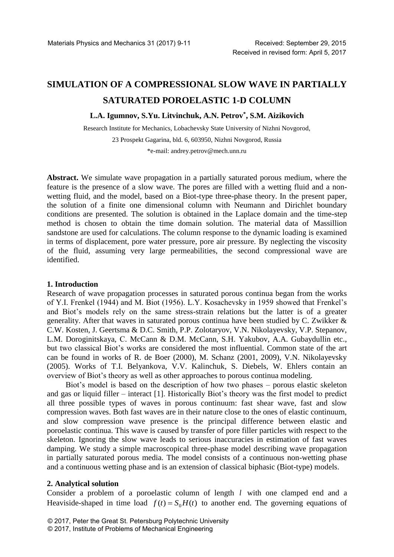# **SIMULATION OF A COMPRESSIONAL SLOW WAVE IN PARTIALLY SATURATED POROELASTIC 1-D COLUMN**

# **L.A. Igumnov, S.Yu. Litvinchuk, A.N. Petrov\* , S.M. Aizikovich**

Research Institute for Mechanics, Lobachevsky State University of Nizhni Novgorod, 23 Prospekt Gagarina, bld. 6, 603950, Nizhni Novgorod, Russia

[\\*e-mail: andrey.petrov@mech.unn.ru](mailto:*e-mail:%20andrey.petrov@mech.unn.ru)

**Abstract.** We simulate wave propagation in a partially saturated porous medium, where the feature is the presence of a slow wave. The pores are filled with a wetting fluid and a nonwetting fluid, and the model, based on a Biot-type three-phase theory. In the present paper, the solution of a finite one dimensional column with Neumann and Dirichlet boundary conditions are presented. The solution is obtained in the Laplace domain and the time-step method is chosen to obtain the time domain solution. The material data of Massillion sandstone are used for calculations. The column response to the dynamic loading is examined in terms of displacement, pore water pressure, pore air pressure. By neglecting the viscosity of the fluid, assuming very large permeabilities, the second compressional wave are identified.

## **1. Introduction**

Research of wave propagation processes in saturated porous continua began from the works of Y.I. Frenkel (1944) and M. Biot (1956). L.Y. Kosachevsky in 1959 showed that Frenkel's and Biot's models rely on the same stress-strain relations but the latter is of a greater generality. After that waves in saturated porous continua have been studied by C. Zwikker & C.W. Kosten, J. Geertsma & D.C. Smith, P.P. Zolotaryov, V.N. Nikolayevsky, V.P. Stepanov, L.M. Doroginitskaya, С. McCann & D.M. McCann, S.H. Yakubov, A.A. Gubaydullin etc., but two classical Biot's works are considered the most influential. Common state of the art can be found in works of R. de Boer (2000), M. Schanz (2001, 2009), V.N. Nikolayevsky (2005). Works of T.I. Belyankova, V.V. Kalinchuk, S. Diebels, W. Ehlers contain an overview of Biot's theory as well as other approaches to porous continua modeling.

Biot's model is based on the description of how two phases – porous elastic skeleton and gas or liquid filler – interact [1]. Historically Biot's theory was the first model to predict all three possible types of waves in porous continuum: fast shear wave, fast and slow compression waves. Both fast waves are in their nature close to the ones of elastic continuum, and slow compression wave presence is the principal difference between elastic and poroelastic continua. This wave is caused by transfer of pore filler particles with respect to the skeleton. Ignoring the slow wave leads to serious inaccuracies in estimation of fast waves damping. We study a simple macroscopical three-phase model describing wave propagation in partially saturated porous media. The model consists of a continuous non-wetting phase and a continuous wetting phase and is an extension of classical biphasic (Biot-type) models.

## **2. Analytical solution**

Consider a problem of a poroelastic column of length *l* with one clamped end and a Heaviside-shaped in time load  $f(t) = S_0 H(t)$  to another end. The governing equations of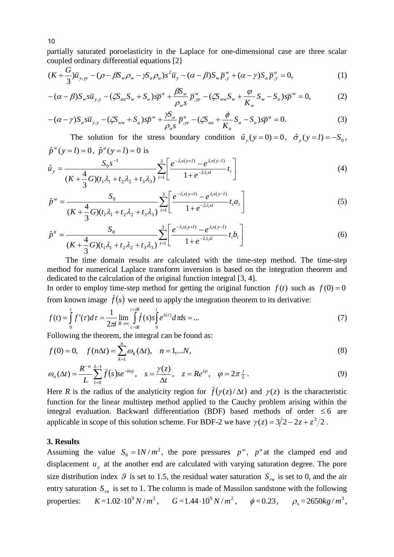partially saturated poroelasticity in the Laplace for one-dimensional case are three scalar coupled ordinary differential equations [2]

$$
(K+\frac{G}{3})\overline{u}_{y,yy}-(\rho-\beta S_w\rho_w-\gamma S_a\rho_a)s^2\overline{u}_y-(\alpha-\beta)S_w\overline{p}_{,y}^w+(\alpha-\gamma)S_a\overline{p}_{,y}^a=0,
$$
\n(1)

$$
-(\alpha - \beta)S_w s \overline{u}_{y,y} - (\zeta S_{aa} S_w + S_u)s \overline{p}^a + \frac{\beta S_w}{\rho_w s} \overline{p}^w_{,yy} - (\zeta S_{ww} S_w + \frac{\varphi}{K_w} S_w - S_u)s \overline{p}^w = 0, \tag{2}
$$

$$
-(\alpha - \gamma)S_a s \overline{u}_{y,y} - (\zeta S_{ww} + S_u)s \overline{p}^w + \frac{\gamma S_a}{\rho_a s} \overline{p}^a_{,y} - (\zeta S_{aa} + \frac{\phi}{K_a} S_a - S_u)s \overline{p}^a = 0.
$$
 (3)

The solution for the stress boundary condition  $\hat{u}_y(y=0) = 0$ ,  $\hat{\sigma}_y(y=l) = -S_0$ ,  $\hat{p}^w(y=l) = 0$ ,  $\hat{p}^a(y=l) = 0$  is

$$
\hat{u}_y = \frac{S_0 s^{-1}}{(K + \frac{4}{3}G)(t_1 \lambda_1 + t_2 \lambda_2 + t_3 \lambda_3)} \sum_{i=1}^3 \left[ \frac{e^{-\lambda_i s(y+l)} - e^{\lambda_i s(y-l)}}{1 + e^{-2\lambda_i s l}} t_i \right]
$$
(4)

$$
\hat{p}^w = \frac{S_0}{(K + \frac{4}{3}G)(t_1\lambda_1 + t_2\lambda_2 + t_3\lambda_3)} \sum_{i=1}^3 \left[ \frac{e^{-\lambda_i s(y+l)} - e^{\lambda_i s(y-l)}}{1 + e^{-2\lambda_i s l}} t_i a_i \right]
$$
(5)

$$
\hat{p}^{a} = \frac{S_{0}}{(K + \frac{4}{3}G)(t_{1}\lambda_{1} + t_{2}\lambda_{2} + t_{3}\lambda_{3})} \sum_{i=1}^{3} \left[ \frac{e^{-\lambda_{i}s(y+l)} - e^{\lambda_{i}s(y-l)}}{1 + e^{-2\lambda_{i}s/l}} t_{i}b_{i} \right]
$$
(6)

The time domain results are calculated with the time-step method. The time-step method for numerical Laplace transform inversion is based on the integration theorem and dedicated to the calculation of the original function integral [3, 4].

In order to employ time-step method for getting the original function  $f(t)$  such as  $f(0) = 0$ from known image  $f(s)$  we need to apply the integration theorem to its derivative:

$$
f(t) = \int_{0}^{t} f'(\tau) d\tau = \frac{1}{2\pi i} \lim_{R \to \infty} \int_{c-iR}^{c+iR} \int_{0}^{t} e^{s(\tau)} d\tau ds = ... \tag{7}
$$

Following the theorem, the integral can be found as:

$$
f(0) = 0, \quad f(n\Delta t) = \sum_{k=1}^{n} \omega_k(\Delta t), \quad n = 1,...N,
$$
  

$$
\omega_n(\Delta t) = \frac{R^{-n}}{L} \sum_{l=0}^{L-1} \bar{f}(s) s e^{-in\varphi}, \quad s = \frac{\gamma(z)}{\Delta t}, \quad z = Re^{i\varphi}, \quad \varphi = 2\pi \frac{l}{L}.
$$
  
(9)

$$
\omega_n(\Delta t) = \frac{R^{-n}}{L} \sum_{l=0}^{L-1} \bar{f}(s) s e^{-in\varphi}, \quad s = \frac{\gamma(z)}{\Delta t}, \quad z = Re^{i\varphi}, \quad \varphi = 2\pi \frac{l}{L}.
$$
\n(9)

Here *R* is the radius of the analyticity region for  $\bar{f}(\gamma(z)/\Delta t)$  and  $\gamma(z)$  is the characteristic function for the linear multistep method applied to the Cauchy problem arising within the integral evaluation. Backward differentiation (BDF) based methods of order  $\leq 6$  are applicable in scope of this solution scheme. For BDF-2 we have  $\gamma(z) = 3/2 - 2z + z^2/2$ .

## **3. Results**

Assuming the value  $S_0 = 1N/m^2$ , the pore pressures  $p^w$ ,  $p^a$  at the clamped end and displacement  $u<sub>y</sub>$  at the another end are calculated with varying saturation degree. The pore size distribution index  $\theta$  is set to 1.5, the residual water saturation  $S_{rw}$  is set to 0, and the air entry saturation  $S_{ra}$  is set to 1. The column is made of Massilon sandstone with the following properties:  $K = 1.02 \cdot 10^9 \, N/m^2$ ,  $G = 1.44 \cdot 10^9 \, N/m^2$ ,  $\phi = 0.23$ ,  $\rho_s = 2650 \, kg/m^3$ ,

10